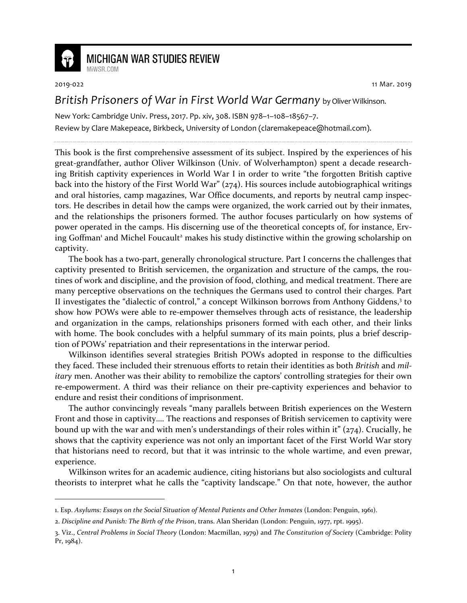

## **MICHIGAN WAR STUDIES REVIEW** MiWSR.COM

-

2019-022 11 Mar. 2019

## *British Prisoners of War in First World War Germany* by Oliver Wilkinson.

New York: Cambridge Univ. Press, 2017. Pp. xiv, 308. ISBN 978–1–108–18567–7. Review by Clare Makepeace, Birkbeck, University of London (claremakepeace@hotmail.com).

This book is the first comprehensive assessment of its subject. Inspired by the experiences of his great-grandfather, author Oliver Wilkinson (Univ. of Wolverhampton) spent a decade researching British captivity experiences in World War I in order to write "the forgotten British captive back into the history of the First World War" (274). His sources include autobiographical writings and oral histories, camp magazines, War Office documents, and reports by neutral camp inspectors. He describes in detail how the camps were organized, the work carried out by their inmates, and the relationships the prisoners formed. The author focuses particularly on how systems of power operated in the camps. His discerning use of the theoretical concepts of, for instance, Erving Goffman<sup>1</sup> and Michel Foucault<sup>2</sup> makes his study distinctive within the growing scholarship on captivity.

The book has a two-part, generally chronological structure. Part I concerns the challenges that captivity presented to British servicemen, the organization and structure of the camps, the routines of work and discipline, and the provision of food, clothing, and medical treatment. There are many perceptive observations on the techniques the Germans used to control their charges. Part II investigates the "dialectic of control," a concept Wilkinson borrows from Anthony Giddens,<sup>3</sup> to show how POWs were able to re-empower themselves through acts of resistance, the leadership and organization in the camps, relationships prisoners formed with each other, and their links with home. The book concludes with a helpful summary of its main points, plus a brief description of POWs' repatriation and their representations in the interwar period.

Wilkinson identifies several strategies British POWs adopted in response to the difficulties they faced. These included their strenuous efforts to retain their identities as both *British* and *military* men. Another was their ability to remobilize the captors' controlling strategies for their own re-empowerment. A third was their reliance on their pre-captivity experiences and behavior to endure and resist their conditions of imprisonment.

The author convincingly reveals "many parallels between British experiences on the Western Front and those in captivity…. The reactions and responses of British servicemen to captivity were bound up with the war and with men's understandings of their roles within it" (274). Crucially, he shows that the captivity experience was not only an important facet of the First World War story that historians need to record, but that it was intrinsic to the whole wartime, and even prewar, experience.

Wilkinson writes for an academic audience, citing historians but also sociologists and cultural theorists to interpret what he calls the "captivity landscape." On that note, however, the author

<sup>1.</sup> Esp. *Asylums: Essays on the Social Situation of Mental Patients and Other Inmates* (London: Penguin, 1961).

<sup>2.</sup> *Discipline and Punish: The Birth of the Prison*, trans. Alan Sheridan (London: Penguin, 1977, rpt. 1995).

<sup>3.</sup> Viz., *Central Problems in Social Theory* (London: Macmillan, 1979) and *The Constitution of Society* (Cambridge: Polity Pr, 1984).